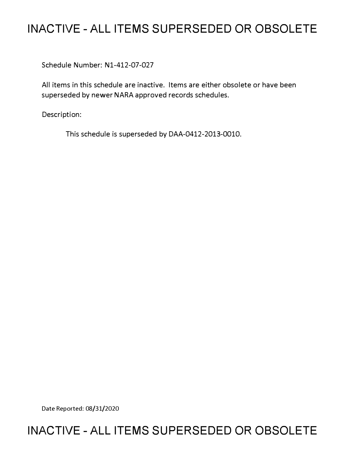## **INACTIVE - ALL ITEMS SUPERSEDED OR OBSOLETE**

Schedule Number: Nl-412-07-027

All items in this schedule are inactive. Items are either obsolete or have been superseded by newer NARA approved records schedules.

Description:

This schedule is superseded by DAA-0412-2013-0010.

Date Reported: 08/31/2020

## **INACTIVE - ALL ITEMS SUPERSEDED OR OBSOLETE**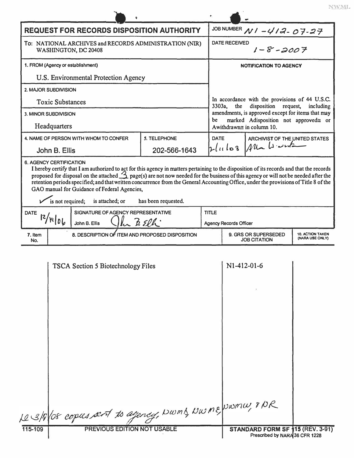|                                     | <b>REQUEST FOR RECORDS DISPOSITION AUTHORITY</b>                                                                                                                                                                                                                                                                                                                                                                  |                     | JOB NUMBER $N1 - 412 - 07 - 27$                                                                                                       |                                                                        |                                                                                           |  |  |  |
|-------------------------------------|-------------------------------------------------------------------------------------------------------------------------------------------------------------------------------------------------------------------------------------------------------------------------------------------------------------------------------------------------------------------------------------------------------------------|---------------------|---------------------------------------------------------------------------------------------------------------------------------------|------------------------------------------------------------------------|-------------------------------------------------------------------------------------------|--|--|--|
|                                     | To: NATIONAL ARCHIVES and RECORDS ADMINISTRATION (NIR)<br>WASHINGTON, DC 20408                                                                                                                                                                                                                                                                                                                                    |                     | <b>DATE RECEIVED</b><br>$1 - 8 - 2007$                                                                                                |                                                                        |                                                                                           |  |  |  |
|                                     | 1. FROM (Agency or establishment)                                                                                                                                                                                                                                                                                                                                                                                 |                     | <b>NOTIFICATION TO AGENCY</b>                                                                                                         |                                                                        |                                                                                           |  |  |  |
|                                     | U.S. Environmental Protection Agency                                                                                                                                                                                                                                                                                                                                                                              |                     |                                                                                                                                       |                                                                        |                                                                                           |  |  |  |
|                                     | 2. MAJOR SUBDIVISION                                                                                                                                                                                                                                                                                                                                                                                              |                     |                                                                                                                                       |                                                                        |                                                                                           |  |  |  |
|                                     | <b>Toxic Substances</b>                                                                                                                                                                                                                                                                                                                                                                                           | 3303a,              | the                                                                                                                                   | In accordance with the provisions of 44 U.S.C.<br>disposition request, | including                                                                                 |  |  |  |
|                                     | <b>3. MINOR SUBDIVISION</b>                                                                                                                                                                                                                                                                                                                                                                                       |                     | amendments, is approved except for items that may<br>marked Adisposition not approved≅ or<br>be<br>A withdrawn $\equiv$ in column 10. |                                                                        |                                                                                           |  |  |  |
|                                     | Headquarters                                                                                                                                                                                                                                                                                                                                                                                                      |                     |                                                                                                                                       |                                                                        |                                                                                           |  |  |  |
|                                     | 4. NAME OF PERSON WITH WHOM TO CONFER                                                                                                                                                                                                                                                                                                                                                                             | 5. TELEPHONE        |                                                                                                                                       | <b>DATE</b><br>ARCHIVIST OF THE UNITED STATES                          |                                                                                           |  |  |  |
|                                     | John B. Ellis                                                                                                                                                                                                                                                                                                                                                                                                     | 202-566-1643        |                                                                                                                                       |                                                                        | Alla La with<br>2lnlog                                                                    |  |  |  |
| <b>DATE</b>                         | proposed for disposal on the attached $\triangle$ page(s) are not now needed for the business of this agency or will not be needed after the<br>retention periods specified; and that written concurrence from the General Accounting Office, under the provisions of Title 8 of the<br>GAO manual for Guidance of Federal Agencies,<br>is not required;<br>is attached; or<br>SIGNATURE OF AGENCY REPRESENTATIVE | has been requested. | <b>TITLE</b>                                                                                                                          |                                                                        |                                                                                           |  |  |  |
| 12/H106<br>he BElh<br>John B. Ellis |                                                                                                                                                                                                                                                                                                                                                                                                                   |                     |                                                                                                                                       | <b>Agency Records Officer</b>                                          |                                                                                           |  |  |  |
| 7. Item<br>No.                      | 8. DESCRIPTION OF ITEM AND PROPOSED DISPOSITION                                                                                                                                                                                                                                                                                                                                                                   |                     |                                                                                                                                       |                                                                        | 9. GRS OR SUPERSEDED<br><b>10. ACTION TAKEN</b><br>(NARA USE ONLY)<br><b>JOB CITATION</b> |  |  |  |
|                                     | <b>TSCA Section 5 Biotechnology Files</b>                                                                                                                                                                                                                                                                                                                                                                         |                     |                                                                                                                                       | $N1-412-01-6$                                                          |                                                                                           |  |  |  |
| 115-109                             | Le 3/8/08 copies sent to agency, Nwms, Nwne, Nwnw, 8/0R                                                                                                                                                                                                                                                                                                                                                           |                     |                                                                                                                                       |                                                                        |                                                                                           |  |  |  |
|                                     | PREVIOUS EDITION NOT USABLE                                                                                                                                                                                                                                                                                                                                                                                       |                     |                                                                                                                                       | STANDARD FORM SF 115 (REV. 3-91)                                       |                                                                                           |  |  |  |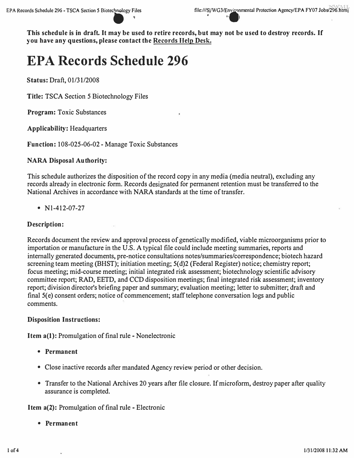**This schedule is in draft. It may be used to retire records, but may not be used to destroy records. If you have any questions, please contact the Records Help Desk.** 

# **EPA Records Schedule 296**

**Status:** Draft, 01/31/2008

**Title:** TSCA Section 5 Biotechnology Files

**Program:** Toxic Substances

**Applicability:** Headquarters

**Function:** 108-025-06-02 - Manage Toxic Substances

#### **NARA Disposal Authority:**

This schedule authorizes the disposition of the record copy in any media (media neutral), excluding any records already in electronic form. Records designated for permanent retention must be transferred to the National Archives in accordance with NARA standards at the time of transfer.

•  $N1-412-07-27$ 

#### **Description:**

Records document the review and approval process of genetically modified, viable microorganisms prior to importation or manufacture in the U.S. A typical file could include meeting summaries, reports and internally generated documents, pre-notice consultations notes/summaries/correspondence; biotech hazard screening team meeting (BHST); initiation meeting; 5(d)2 (Federal Register) notice; chemistry report; focus meeting; mid-course meeting; initial integrated risk assessment; biotechnology scientific advisory committee report; RAD, EETD, and CCD disposition meetings; final integrated risk assessment; inventory report; division director's briefing paper and summary; evaluation meeting; letter to submitter; draft and final 5(e) consent orders; notice of commencement; staff telephone conversation logs and public comments.

#### **Disposition Instructions:**

**Item a(l):** Promulgation of final rule - Nonelectronic

- **Permanent**
- Close inactive records after mandated Agency review period or other decision.
- Transfer to the National Archives 20 years after file closure. If microform, destroy paper after quality assurance is completed.

**Item a(2):** Promulgation of final rule - Electronic

**• Permanent**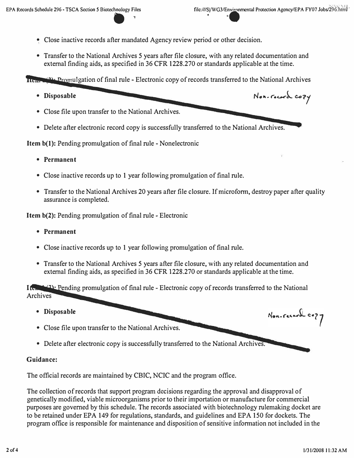- Close inactive records after mandated Agency review period or other decision.
- Transfer to the National Archives 5 years after file closure, with any related documentation and external finding aids, as specified in 36 CFR 1228.270 or standards applicable at the time.

Item  $(2)$ . Promulgation of final rule - Electronic copy of records transferred to the National Archives

- 
- Disposable **Non-Facerd** copy

-

- Close file upon transfer to the National Archives.
- Delete after electronic record copy is successfully transferred to the National Archives.

**Item b(l):** Pending promulgation of final rule - Nonelectronic

- **Permanent**
- Close inactive records up to 1 year following promulgation of final rule.
- Transfer to the National Archives 20 years after file closure. If microform, destroy paper after quality assurance is completed.

**Item b(2):** Pending promulgation of final rule - Electronic

- **Permanent**
- Close inactive records up to 1 year following promulgation of final rule.
- Transfer to the National Archives 5 years after file closure, with any related documentation and external finding aids, as specified in 36 CFR 1228.270 or standards applicable at the time.

 $\frac{1}{16}$  (2) Pending promulgation of final rule - Electronic copy of records transferred to the National Archives

- **Disposable**
- Close file upon transfer to the National Archives.
- Delete after electronic copy is successfully transferred to the National Archives.

### **Guidance:**

The official records are maintained by CBIC, NCIC and the program office.

The collection of records that support program decisions regarding the approval and disapproval of genetically modified, viable microorganisms prior to their importation or manufacture for commercial purposes are governed by this schedule. The records associated with biotechnology rulemaking docket are to be retained under EPA 149 for regulations, standards, and guidelines and EPA 150 for dockets. The program office is responsible for maintenance and disposition of sensitive information not included in the

Non-record cozy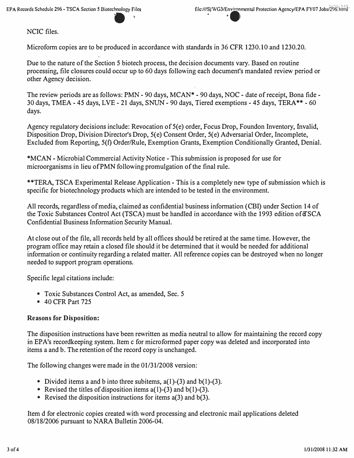**-**

NCIC files.

Microform copies are to be produced in accordance with standards in 36 CFR 1230.10 and 1230.20.

Due to the nature of the Section 5 biotech process, the decision documents vary. Based on routine processing, file closures could occur up to 60 days following each document's mandated review period or other Agency decision.

The review periods are as follows: PMN - 90 days, MCAN\* - 90 days, NOC - date of receipt, Bona fide - 30 days, TMEA - 45 days, LVE - 21 days, SNUN - 90 days, Tiered exemptions - 45 days, TERA\*\* - 60 days.

Agency regulatory decisions include: Revocation of 5(e) order, Focus Drop, Foundon Inventory, Invalid, Disposition Drop, Division Director's Drop, S(e) Consent Order, 5(e) Adversarial Order, Incomplete, Excluded from Reporting, 5(f) Order/Rule, Exemption Grants, Exemption Conditionally Granted, Denial.

\*MCAN - Microbial Commercial Activity Notice - This submission is proposed for use for microorganisms in lieu of PMN following promulgation of the final rule.

\*\*TERA, TSCA Experimental Release Application - This is a completely new type of submission which is specific for biotechnology products which are intended to be tested in the environment.

All records, regardless of media, claimed as confidential business information (CBI) under Section 14 of the Toxic Substances Control Act (TSCA) must be handled in accordance with the 1993 edition of TSCA Confidential Business Information Security Manual.

At close out of the file, all records held by all offices should be retired at the same time. However, the program office may retain a closed file should it be determined that it would be needed for additional information or continuity regarding a related matter. All reference copies can be destroyed when no longer needed to support program operations.

Specific legal citations include:

- Toxic Substances Control Act, as amended, Sec. 5
- 40 CFR Part 725

#### **Reasons for Disposition:**

The disposition instructions have been rewritten as media neutral to allow for maintaining the record copy in EPA's recordkeeping system. Item c for micro formed paper copy was deleted and incorporated into items a and b. The retention of the record copy is unchanged.

The following changes were made in the 01/31/2008 version:

- Divided items a and b into three subitems,  $a(1)$ -(3) and  $b(1)$ -(3).
- Revised the titles of disposition items  $a(1)-(3)$  and  $b(1)-(3)$ .
- Revised the disposition instructions for items a(3) and b(3).

Item d for electronic copies created with word processing and electronic mail applications deleted 08/18/2006 pursuant to NARA Bulletin 2006-04.